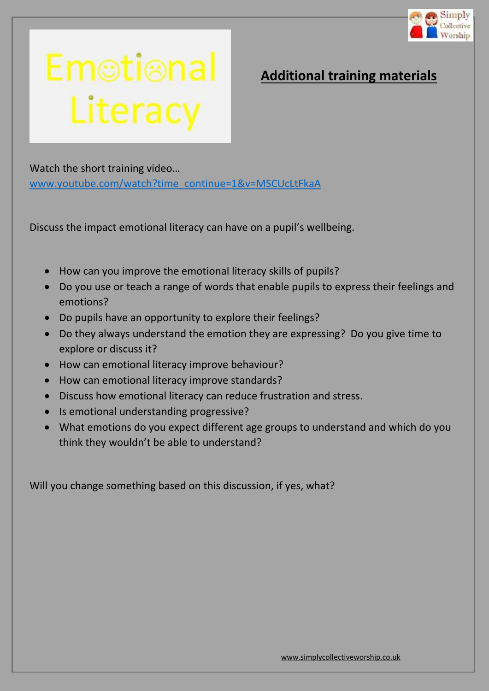

## Emotional<br>Literacy

## **Additional training materials**

Watch the short training video… [www.youtube.com/watch?time\\_continue=1&v=MSCUcLtFkaA](http://www.youtube.com/watch?time_continue=1&v=MSCUcLtFkaA)

Discuss the impact emotional literacy can have on a pupil's wellbeing.

- How can you improve the emotional literacy skills of pupils?
- Do you use or teach a range of words that enable pupils to express their feelings and emotions?
- Do pupils have an opportunity to explore their feelings?
- Do they always understand the emotion they are expressing? Do you give time to explore or discuss it?
- How can emotional literacy improve behaviour?
- How can emotional literacy improve standards?
- Discuss how emotional literacy can reduce frustration and stress.
- Is emotional understanding progressive?
- What emotions do you expect different age groups to understand and which do you think they wouldn't be able to understand?

Will you change something based on this discussion, if yes, what?